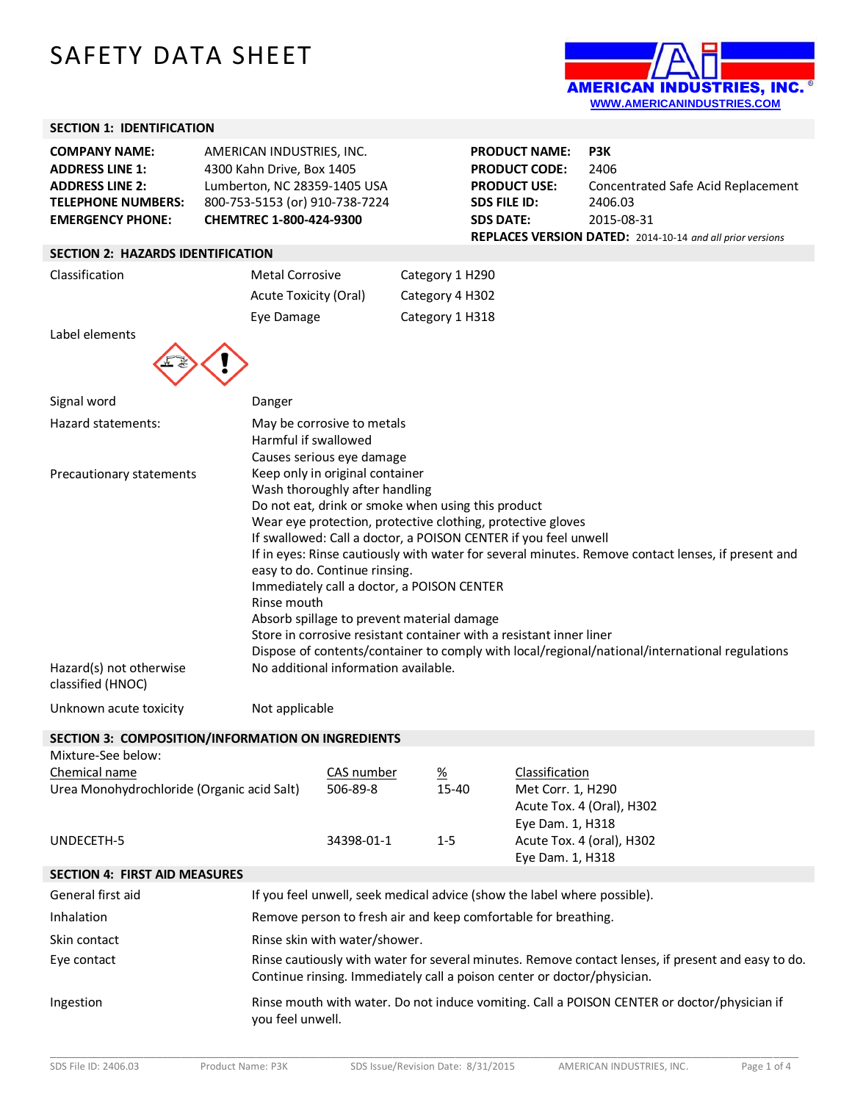# SAFETY DATA SHEET



# **SECTION 1: IDENTIFICATION**

| <b>COMPANY NAME:</b>      | AMERICAN INDUSTRIES, INC.      |
|---------------------------|--------------------------------|
| <b>ADDRESS LINE 1:</b>    | 4300 Kahn Drive, Box 1405      |
| <b>ADDRESS LINE 2:</b>    | Lumberton, NC 28359-1405 USA   |
| <b>TELEPHONE NUMBERS:</b> | 800-753-5153 (or) 910-738-7224 |
| <b>EMERGENCY PHONE:</b>   | CHEMTREC 1-800-424-9300        |

| <b>PRODUCT NAME:</b>                                      | P3K                                |  |  |
|-----------------------------------------------------------|------------------------------------|--|--|
| <b>PRODUCT CODE:</b>                                      | 2406                               |  |  |
| <b>PRODUCT USE:</b>                                       | Concentrated Safe Acid Replacement |  |  |
| SDS FILE ID:                                              | 2406.03                            |  |  |
| <b>SDS DATE:</b>                                          | 2015-08-31                         |  |  |
| REPLACES VERSION DATED: 2014-10-14 and all prior versions |                                    |  |  |

# **SECTION 2: HAZARDS IDENTIFICATION**

| Classification | <b>Metal Corrosive</b> | Category 1 H290 |  |
|----------------|------------------------|-----------------|--|
|                | Acute Toxicity (Oral)  | Category 4 H302 |  |
|                | Eye Damage             | Category 1 H318 |  |



| Signal word                                  | Danger                                                                                                                                                                                                                                                                                                                                                                                                                                                                                                                                                                                                                                                                               |
|----------------------------------------------|--------------------------------------------------------------------------------------------------------------------------------------------------------------------------------------------------------------------------------------------------------------------------------------------------------------------------------------------------------------------------------------------------------------------------------------------------------------------------------------------------------------------------------------------------------------------------------------------------------------------------------------------------------------------------------------|
| Hazard statements:                           | May be corrosive to metals<br>Harmful if swallowed<br>Causes serious eye damage                                                                                                                                                                                                                                                                                                                                                                                                                                                                                                                                                                                                      |
| Precautionary statements                     | Keep only in original container<br>Wash thoroughly after handling<br>Do not eat, drink or smoke when using this product<br>Wear eye protection, protective clothing, protective gloves<br>If swallowed: Call a doctor, a POISON CENTER if you feel unwell<br>If in eyes: Rinse cautiously with water for several minutes. Remove contact lenses, if present and<br>easy to do. Continue rinsing.<br>Immediately call a doctor, a POISON CENTER<br>Rinse mouth<br>Absorb spillage to prevent material damage<br>Store in corrosive resistant container with a resistant inner liner<br>Dispose of contents/container to comply with local/regional/national/international regulations |
| Hazard(s) not otherwise<br>classified (HNOC) | No additional information available.                                                                                                                                                                                                                                                                                                                                                                                                                                                                                                                                                                                                                                                 |

Unknown acute toxicity Mot applicable

**SECTION 3: COMPOSITION/INFORMATION ON INGREDIENTS**

| Mixture-See below:                         |            |                 |                           |
|--------------------------------------------|------------|-----------------|---------------------------|
| Chemical name                              | CAS number | $\frac{\%}{\%}$ | Classification            |
| Urea Monohydrochloride (Organic acid Salt) | 506-89-8   | 15-40           | Met Corr. 1, H290         |
|                                            |            |                 | Acute Tox. 4 (Oral), H302 |
|                                            |            |                 | Eye Dam. 1, H318          |
| UNDECETH-5                                 | 34398-01-1 | $1 - 5$         | Acute Tox. 4 (oral), H302 |
|                                            |            |                 | Eye Dam. 1, H318          |
|                                            |            |                 |                           |

|                   | <b>SECTION 4: FIRST AID MEASURES</b> |              |
|-------------------|--------------------------------------|--------------|
| Conoral first aid |                                      | $\mathbf{f}$ |

| General first aid | If you feel unwell, seek medical advice (show the label where possible).                                                                                                      |
|-------------------|-------------------------------------------------------------------------------------------------------------------------------------------------------------------------------|
| Inhalation        | Remove person to fresh air and keep comfortable for breathing.                                                                                                                |
| Skin contact      | Rinse skin with water/shower.                                                                                                                                                 |
| Eye contact       | Rinse cautiously with water for several minutes. Remove contact lenses, if present and easy to do.<br>Continue rinsing. Immediately call a poison center or doctor/physician. |
| Ingestion         | Rinse mouth with water. Do not induce vomiting. Call a POISON CENTER or doctor/physician if<br>you feel unwell.                                                               |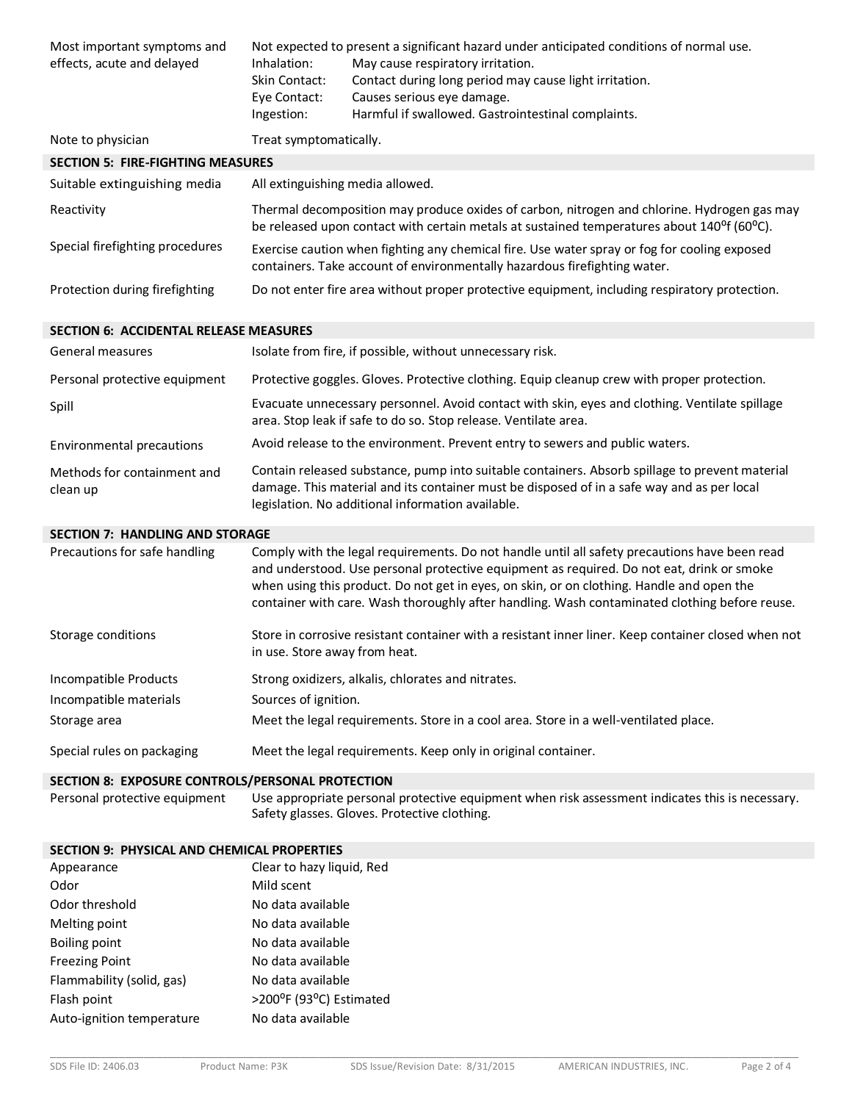| Most important symptoms and<br>effects, acute and delayed | Inhalation:<br>Skin Contact:<br>Eye Contact:<br>Ingestion: | Not expected to present a significant hazard under anticipated conditions of normal use.<br>May cause respiratory irritation.<br>Contact during long period may cause light irritation.<br>Causes serious eye damage.<br>Harmful if swallowed. Gastrointestinal complaints.                                                                                                              |
|-----------------------------------------------------------|------------------------------------------------------------|------------------------------------------------------------------------------------------------------------------------------------------------------------------------------------------------------------------------------------------------------------------------------------------------------------------------------------------------------------------------------------------|
| Note to physician                                         | Treat symptomatically.                                     |                                                                                                                                                                                                                                                                                                                                                                                          |
| <b>SECTION 5: FIRE-FIGHTING MEASURES</b>                  |                                                            |                                                                                                                                                                                                                                                                                                                                                                                          |
| Suitable extinguishing media                              | All extinguishing media allowed.                           |                                                                                                                                                                                                                                                                                                                                                                                          |
| Reactivity                                                |                                                            | Thermal decomposition may produce oxides of carbon, nitrogen and chlorine. Hydrogen gas may<br>be released upon contact with certain metals at sustained temperatures about 140 <sup>o</sup> f (60 <sup>o</sup> C).                                                                                                                                                                      |
| Special firefighting procedures                           |                                                            | Exercise caution when fighting any chemical fire. Use water spray or fog for cooling exposed<br>containers. Take account of environmentally hazardous firefighting water.                                                                                                                                                                                                                |
| Protection during firefighting                            |                                                            | Do not enter fire area without proper protective equipment, including respiratory protection.                                                                                                                                                                                                                                                                                            |
| <b>SECTION 6: ACCIDENTAL RELEASE MEASURES</b>             |                                                            |                                                                                                                                                                                                                                                                                                                                                                                          |
| <b>General measures</b>                                   |                                                            | Isolate from fire, if possible, without unnecessary risk.                                                                                                                                                                                                                                                                                                                                |
| Personal protective equipment                             |                                                            | Protective goggles. Gloves. Protective clothing. Equip cleanup crew with proper protection.                                                                                                                                                                                                                                                                                              |
| Spill                                                     |                                                            | Evacuate unnecessary personnel. Avoid contact with skin, eyes and clothing. Ventilate spillage<br>area. Stop leak if safe to do so. Stop release. Ventilate area.                                                                                                                                                                                                                        |
| Environmental precautions                                 |                                                            | Avoid release to the environment. Prevent entry to sewers and public waters.                                                                                                                                                                                                                                                                                                             |
| Methods for containment and<br>clean up                   |                                                            | Contain released substance, pump into suitable containers. Absorb spillage to prevent material<br>damage. This material and its container must be disposed of in a safe way and as per local<br>legislation. No additional information available.                                                                                                                                        |
| <b>SECTION 7: HANDLING AND STORAGE</b>                    |                                                            |                                                                                                                                                                                                                                                                                                                                                                                          |
| Precautions for safe handling                             |                                                            | Comply with the legal requirements. Do not handle until all safety precautions have been read<br>and understood. Use personal protective equipment as required. Do not eat, drink or smoke<br>when using this product. Do not get in eyes, on skin, or on clothing. Handle and open the<br>container with care. Wash thoroughly after handling. Wash contaminated clothing before reuse. |
| Storage conditions                                        | in use. Store away from heat.                              | Store in corrosive resistant container with a resistant inner liner. Keep container closed when not                                                                                                                                                                                                                                                                                      |
| Incompatible Products                                     |                                                            | Strong oxidizers, alkalis, chlorates and nitrates.                                                                                                                                                                                                                                                                                                                                       |
| Incompatible materials                                    | Sources of ignition.                                       |                                                                                                                                                                                                                                                                                                                                                                                          |
| Storage area                                              |                                                            | Meet the legal requirements. Store in a cool area. Store in a well-ventilated place.                                                                                                                                                                                                                                                                                                     |
| Special rules on packaging                                |                                                            | Meet the legal requirements. Keep only in original container.                                                                                                                                                                                                                                                                                                                            |
| SECTION 8: EXPOSURE CONTROLS/PERSONAL PROTECTION          |                                                            |                                                                                                                                                                                                                                                                                                                                                                                          |
| Personal protective equipment                             |                                                            | Use appropriate personal protective equipment when risk assessment indicates this is necessary.<br>Safety glasses. Gloves. Protective clothing.                                                                                                                                                                                                                                          |
| <b>SECTION 9: PHYSICAL AND CHEMICAL PROPERTIES</b>        |                                                            |                                                                                                                                                                                                                                                                                                                                                                                          |
| Appearance                                                | Clear to hazy liquid, Red                                  |                                                                                                                                                                                                                                                                                                                                                                                          |
| Odor                                                      | Mild scent                                                 |                                                                                                                                                                                                                                                                                                                                                                                          |
| Odor threshold                                            | No data available                                          |                                                                                                                                                                                                                                                                                                                                                                                          |
| Melting point                                             |                                                            |                                                                                                                                                                                                                                                                                                                                                                                          |
|                                                           | No data available                                          |                                                                                                                                                                                                                                                                                                                                                                                          |
| <b>Boiling point</b>                                      | No data available                                          |                                                                                                                                                                                                                                                                                                                                                                                          |
| <b>Freezing Point</b>                                     | No data available                                          |                                                                                                                                                                                                                                                                                                                                                                                          |

Flash point  $>200^{\circ}$ F (93°C) Estimated Auto-ignition temperature No data available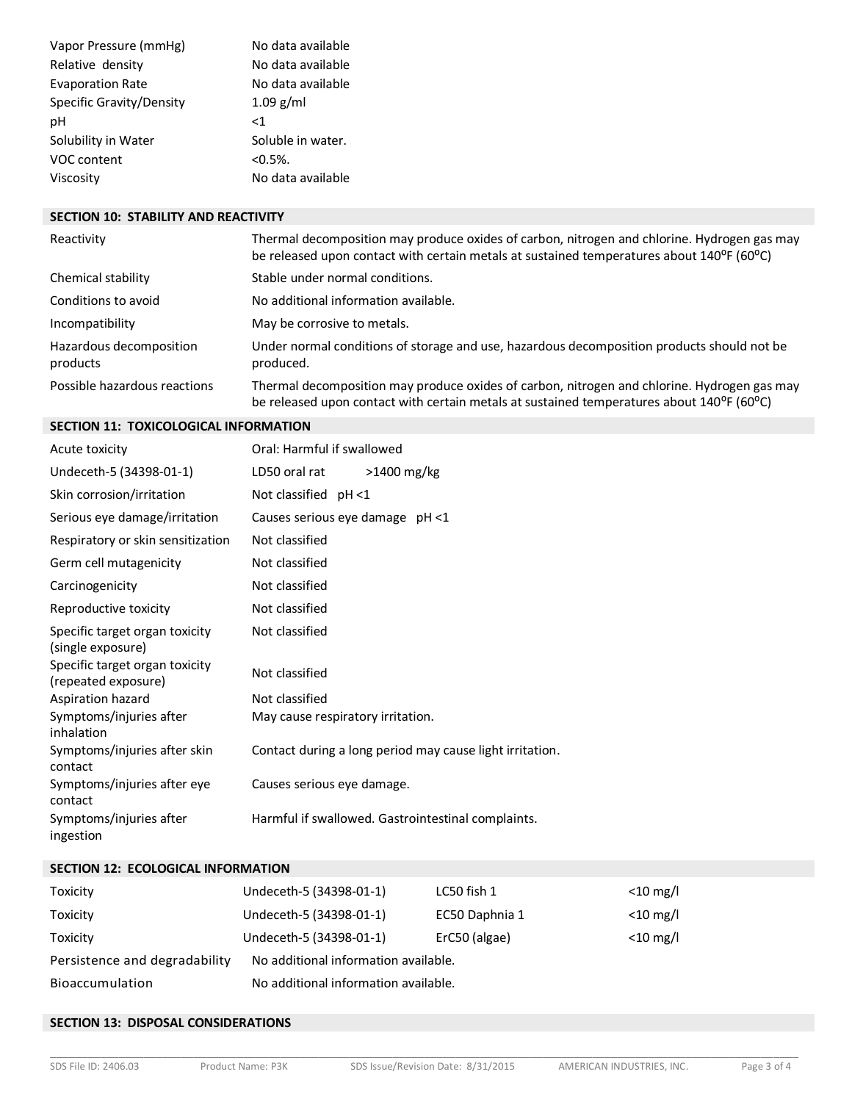| Vapor Pressure (mmHg)    | No data available |
|--------------------------|-------------------|
| Relative density         | No data available |
| <b>Evaporation Rate</b>  | No data available |
| Specific Gravity/Density | $1.09$ g/ml       |
| рH                       | -1                |
| Solubility in Water      | Soluble in water. |
| VOC content              | $< 0.5\%$ .       |
| Viscosity                | No data available |

#### **SECTION 10: STABILITY AND REACTIVITY**

| Reactivity                          | Thermal decomposition may produce oxides of carbon, nitrogen and chlorine. Hydrogen gas may<br>be released upon contact with certain metals at sustained temperatures about 140°F (60°C) |
|-------------------------------------|------------------------------------------------------------------------------------------------------------------------------------------------------------------------------------------|
| Chemical stability                  | Stable under normal conditions.                                                                                                                                                          |
| Conditions to avoid                 | No additional information available.                                                                                                                                                     |
| Incompatibility                     | May be corrosive to metals.                                                                                                                                                              |
| Hazardous decomposition<br>products | Under normal conditions of storage and use, hazardous decomposition products should not be<br>produced.                                                                                  |
| Possible hazardous reactions        | Thermal decomposition may produce oxides of carbon, nitrogen and chlorine. Hydrogen gas may<br>be released upon contact with certain metals at sustained temperatures about 140°F (60°C) |

## **SECTION 11: TOXICOLOGICAL INFORMATION**

| Acute toxicity                                        | Oral: Harmful if swallowed                               |
|-------------------------------------------------------|----------------------------------------------------------|
| Undeceth-5 (34398-01-1)                               | >1400 mg/kg<br>LD50 oral rat                             |
| Skin corrosion/irritation                             | Not classified pH <1                                     |
| Serious eye damage/irritation                         | Causes serious eye damage pH <1                          |
| Respiratory or skin sensitization                     | Not classified                                           |
| Germ cell mutagenicity                                | Not classified                                           |
| Carcinogenicity                                       | Not classified                                           |
| Reproductive toxicity                                 | Not classified                                           |
| Specific target organ toxicity<br>(single exposure)   | Not classified                                           |
| Specific target organ toxicity<br>(repeated exposure) | Not classified                                           |
| Aspiration hazard                                     | Not classified                                           |
| Symptoms/injuries after<br>inhalation                 | May cause respiratory irritation.                        |
| Symptoms/injuries after skin<br>contact               | Contact during a long period may cause light irritation. |
| Symptoms/injuries after eye<br>contact                | Causes serious eye damage.                               |
| Symptoms/injuries after<br>ingestion                  | Harmful if swallowed. Gastrointestinal complaints.       |

## **SECTION 12: ECOLOGICAL INFORMATION**

| Toxicity                      | Undeceth-5 (34398-01-1)              | LC50 fish 1    | $<$ 10 mg/l |
|-------------------------------|--------------------------------------|----------------|-------------|
| Toxicity                      | Undeceth-5 (34398-01-1)              | EC50 Daphnia 1 | $<$ 10 mg/l |
| Toxicity                      | Undeceth-5 (34398-01-1)              | ErC50 (algae)  | $<$ 10 mg/l |
| Persistence and degradability | No additional information available. |                |             |
| Bioaccumulation               | No additional information available. |                |             |

## **SECTION 13: DISPOSAL CONSIDERATIONS**